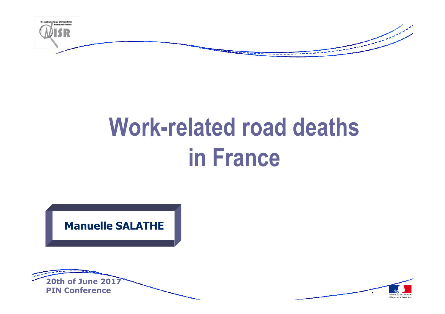

# **Work-related road deaths in France**

**Manuelle SALATHE**



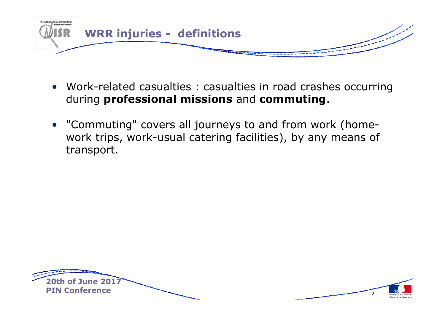

- Work-related casualties : casualties in road crashes occurring during **professional missions** and **commuting**.
- "Commuting" covers all journeys to and from work (homework trips, work-usual catering facilities), by any means of transport.



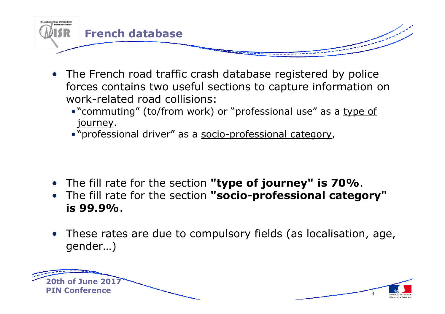

- The French road traffic crash database registered by police forces contains two useful sections to capture information on work-related road collisions:
	- "commuting" (to/from work) or "professional use" as a type of<br>iourney journey.
	- "professional driver" as a <u>socio-professional category,</u>
- The fill rate for the section **"type of journey" is 70%**.
- The fill rate for the section **"socio-professional category" is 99.9%**.
- These rates are due to compulsory fields (as localisation, age, aender) gender…)

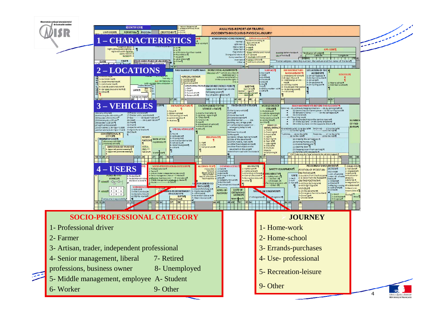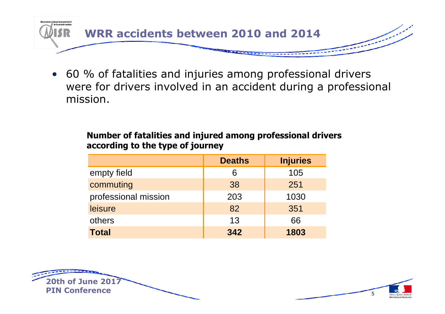

• <sup>60</sup> % of fatalities and injuries among professional drivers were for drivers involved in an accident during a professional mission.

### **Number of fatalities and injured among professional drivers according to the type of journey**

|                      | <b>Deaths</b> | <b>Injuries</b> |
|----------------------|---------------|-----------------|
| empty field          | 6             | 105             |
| commuting            | 38            | 251             |
| professional mission | 203           | 1030            |
| leisure              | 82            | 351             |
| others               | 13            | 66              |
| <b>Total</b>         | 342           | 1803            |



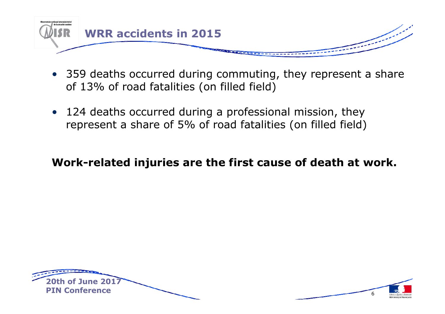

- 359 deaths occurred during commuting, they represent a share<br>of 13% of road fatalities (on filled field) of 13% of road fatalities (on filled field)
- 124 deaths occurred during a professional mission, they<br>'renresent a share of 5% of road fatalities (on filled field) represent a share of 5% of road fatalities (on filled field)

## **Work-related injuries are the first cause of death at work.**



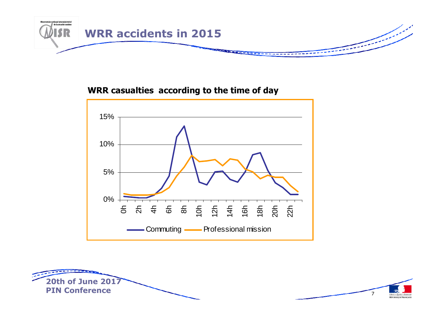

#### **WRR casualties according to the time of day**



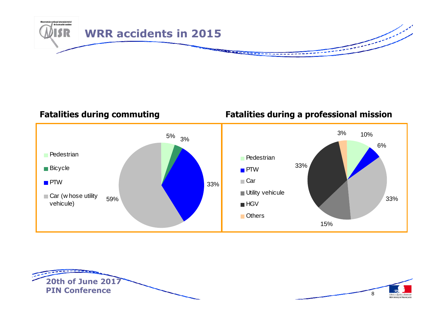

**Fatalities during commuting Fatalities during a professional mission**



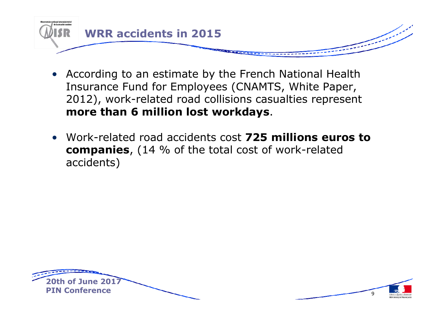

- According to an estimate by the French National Health Insurance Fund for Employees (CNAMTS, White Paper, 2012), work-related road collisions casualties represent **more than 6 million lost workdays**.
- Work-related road accidents cost **725 millions euros to companies**, (14 % of the total cost of work-related accidents)



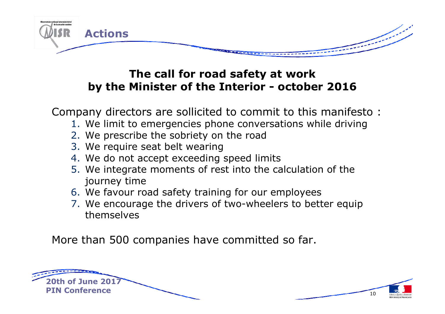

# **The call for road safety at work by the Minister of the Interior - october <sup>2016</sup>**

Company directors are sollicited to commit to this manifesto :

- 1. We limit to emergencies phone conversations while driving
- 2. We prescribe the sobriety on the road
- 3. We require seat belt wearing
- 4. We do not accept exceeding speed limits
- 5. We integrate moments of rest into the calculation of the journey time
- 6. We favour road safety training for our employees<br>7. We encourage the drivers of two-wheelers to bet
- 7. We encourage the drivers of two-wheelers to better equip themselves

More than 500 companies have committed so far.



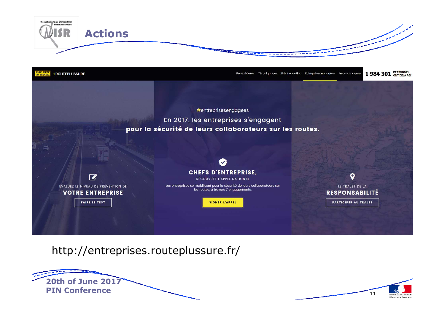



http://entreprises.routeplussure.fr/



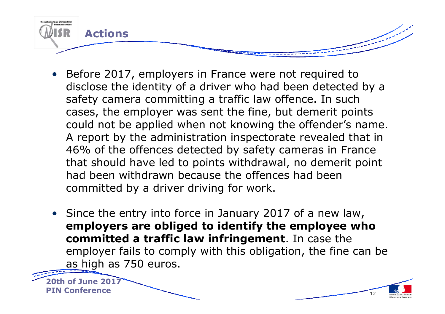

- Before 2017, employers in France were not required to disclose the identity of a driver who had been detected by a safety camera committing a traffic law offence. In such cases, the employer was sent the fine, but demerit points could not be applied when not knowing the offender's name. A report by the administration inspectorate revealed that in 46% of the offences detected by safety cameras in France that should have led to points withdrawal, no demerit point had been withdrawn because the offences had been committed by a driver driving for work.
- Since the entry into force in January 2017 of a new law, **employers are obliged to identify the employee who committed a traffic law infringement**. In case the employer fails to comply with this obligation, the fine can be as high as 750 euros.